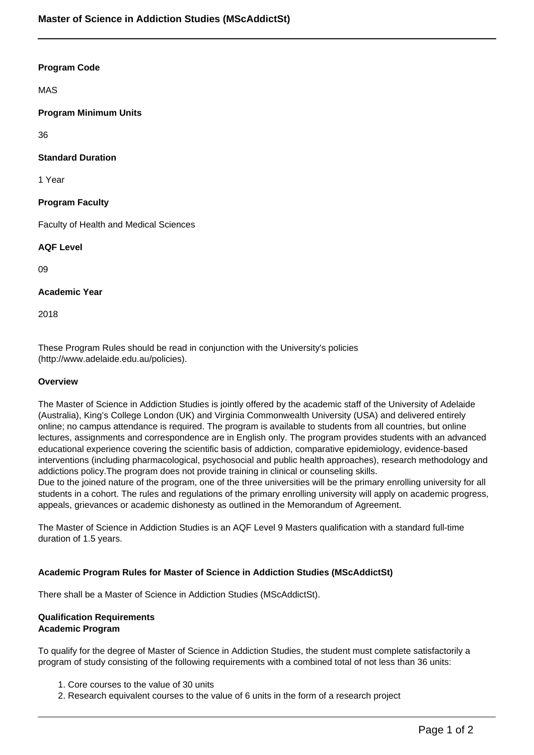### **Program Code**

MAS

# **Program Minimum Units**

36

# **Standard Duration**

1 Year

### **Program Faculty**

Faculty of Health and Medical Sciences

### **AQF Level**

09

### **Academic Year**

2018

These Program Rules should be read in conjunction with the University's policies (http://www.adelaide.edu.au/policies).

#### **Overview**

The Master of Science in Addiction Studies is jointly offered by the academic staff of the University of Adelaide (Australia), King's College London (UK) and Virginia Commonwealth University (USA) and delivered entirely online; no campus attendance is required. The program is available to students from all countries, but online lectures, assignments and correspondence are in English only. The program provides students with an advanced educational experience covering the scientific basis of addiction, comparative epidemiology, evidence-based interventions (including pharmacological, psychosocial and public health approaches), research methodology and addictions policy.The program does not provide training in clinical or counseling skills. Due to the joined nature of the program, one of the three universities will be the primary enrolling university for all

students in a cohort. The rules and regulations of the primary enrolling university will apply on academic progress, appeals, grievances or academic dishonesty as outlined in the Memorandum of Agreement.

The Master of Science in Addiction Studies is an AQF Level 9 Masters qualification with a standard full-time duration of 1.5 years.

#### **Academic Program Rules for Master of Science in Addiction Studies (MScAddictSt)**

There shall be a Master of Science in Addiction Studies (MScAddictSt).

#### **Qualification Requirements Academic Program**

To qualify for the degree of Master of Science in Addiction Studies, the student must complete satisfactorily a program of study consisting of the following requirements with a combined total of not less than 36 units:

- 1. Core courses to the value of 30 units
- 2. Research equivalent courses to the value of 6 units in the form of a research project